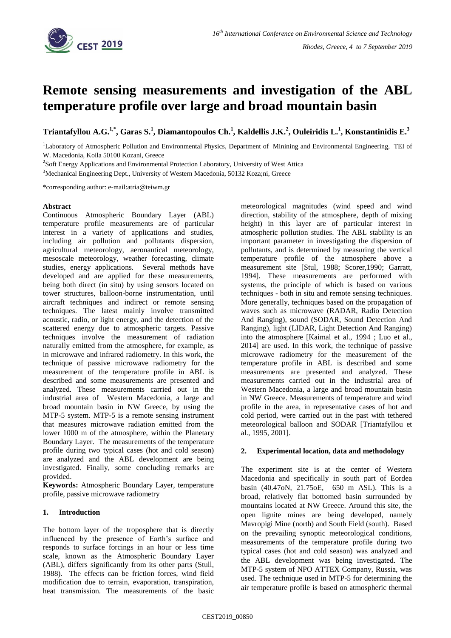

# **Remote sensing measurements and investigation of the ABL temperature profile over large and broad mountain basin**

Triantafyllou A.G. $^{1,*}$ , Garas S.<sup>1</sup>, Diamantopoulos Ch.<sup>1</sup>, Kaldellis J.K.<sup>2</sup>, Ouleiridis L.<sup>1</sup>, Konstantinidis E.<sup>3</sup>

<sup>1</sup>Laboratory of Atmospheric Pollution and Environmental Physics, Department of Minining and Environmental Engineering, TEI of W. Macedonia, Koila 50100 Kozani, Greece

<sup>2</sup>Soft Energy Applications and Environmental Protection Laboratory, University of West Attica

<sup>3</sup>Mechanical Engineering Dept., University of Western Macedonia, 50132 Koza;ni, Greece

\*corresponding author: e-mail:atria@teiwm.gr

### **Abstract**

Continuous Atmospheric Boundary Layer (ABL) temperature profile measurements are of particular interest in a variety of applications and studies, including air pollution and pollutants dispersion, agricultural meteorology, aeronautical meteorology, mesoscale meteorology, weather forecasting, climate studies, energy applications. Several methods have developed and are applied for these measurements, being both direct (in situ) by using sensors located on tower structures, balloon-borne instrumentation, until aircraft techniques and indirect or remote sensing techniques. The latest mainly involve transmitted acoustic, radio, or light energy, and the detection of the scattered energy due to atmospheric targets. Passive techniques involve the measurement of radiation naturally emitted from the atmosphere, for example, as in microwave and infrared radiometry. In this work, the technique of passive microwave radiometry for the measurement of the temperature profile in ABL is described and some measurements are presented and analyzed. These measurements carried out in the industrial area of Western Macedonia, a large and broad mountain basin in NW Greece, by using the MTP-5 system. MTP-5 is a remote sensing instrument that measures microwave radiation emitted from the lower 1000 m of the atmosphere, within the Planetary Boundary Layer. The measurements of the temperature profile during two typical cases (hot and cold season) are analyzed and the ABL development are being investigated. Finally, some concluding remarks are provided.

**Keywords:** Atmospheric Boundary Layer, temperature profile, passive microwave radiometry

## **1. Introduction**

The bottom layer of the troposphere that is directly influenced by the presence of Earth's surface and responds to surface forcings in an hour or less time scale, known as the Atmospheric Boundary Layer (ABL), differs significantly from its other parts (Stull, 1988). The effects can be friction forces, wind field modification due to terrain, evaporation, transpiration, heat transmission. The measurements of the basic

meteorological magnitudes (wind speed and wind direction, stability of the atmosphere, depth of mixing height) in this layer are of particular interest in atmospheric pollution studies. The ABL stability is an important parameter in investigating the dispersion of pollutants, and is determined by measuring the vertical temperature profile of the atmosphere above a measurement site [Stul, 1988; Scorer,1990; Garratt, 1994]. These measurements are performed with systems, the principle of which is based on various techniques - both in situ and remote sensing techniques. More generally, techniques based on the propagation of waves such as microwave (RADAR, Radio Detection And Ranging), sound (SODAR, Sound Detection And Ranging), light (LIDAR, Light Detection And Ranging) into the atmosphere [Kaimal et al., 1994 ; Luo et al., 2014] are used. In this work, the technique of passive microwave radiometry for the measurement of the temperature profile in ABL is described and some measurements are presented and analyzed. These measurements carried out in the industrial area of Western Macedonia, a large and broad mountain basin in NW Greece. Measurements of temperature and wind profile in the area, in representative cases of hot and cold period, were carried out in the past with tethered meteorological balloon and SODAR [Triantafyllou et al., 1995, 2001].

## **2. Experimental location, data and methodology**

The experiment site is at the center of Western Macedonia and specifically in south part of Eordea basin (40.47oN, 21.75oE, 650 m ASL). This is a broad, relatively flat bottomed basin surrounded by mountains located at NW Greece. Around this site, the open lignite mines are being developed, namely Mavropigi Mine (north) and South Field (south). Based on the prevailing synoptic meteorological conditions, measurements of the temperature profile during two typical cases (hot and cold season) was analyzed and the ABL development was being investigated. The MTP-5 system of NPO ATTEX Company, Russia, was used. The technique used in MTP-5 for determining the air temperature profile is based on atmospheric thermal